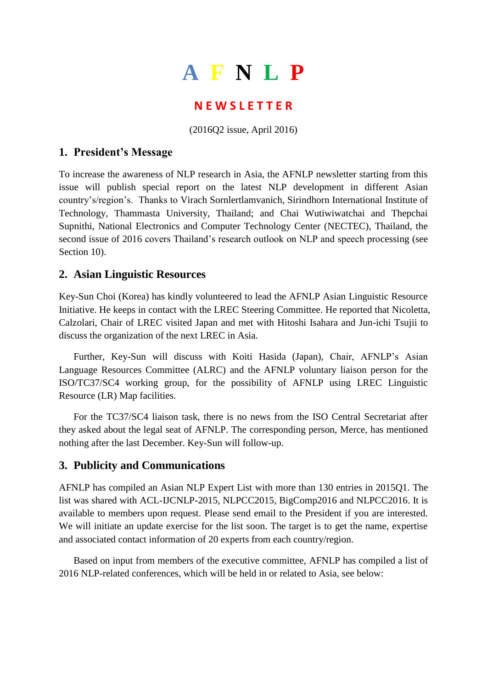# **A F N L P**

# **N E W S L E T T E R**

(2016Q2 issue, April 2016)

## **1. President's Message**

To increase the awareness of NLP research in Asia, the AFNLP newsletter starting from this issue will publish special report on the latest NLP development in different Asian country's/region's. Thanks to Virach Sornlertlamvanich, Sirindhorn International Institute of Technology, Thammasta University, Thailand; and Chai Wutiwiwatchai and Thepchai Supnithi, National Electronics and Computer Technology Center (NECTEC), Thailand, the second issue of 2016 covers Thailand's research outlook on NLP and speech processing (see Section 10).

## **2. Asian Linguistic Resources**

Key-Sun Choi (Korea) has kindly volunteered to lead the AFNLP Asian Linguistic Resource Initiative. He keeps in contact with the LREC Steering Committee. He reported that Nicoletta, Calzolari, Chair of LREC visited Japan and met with Hitoshi Isahara and Jun-ichi Tsujii to discuss the organization of the next LREC in Asia.

Further, Key-Sun will discuss with Koiti Hasida (Japan), Chair, AFNLP's Asian Language Resources Committee (ALRC) and the AFNLP voluntary liaison person for the ISO/TC37/SC4 working group, for the possibility of AFNLP using LREC Linguistic Resource (LR) Map facilities.

For the TC37/SC4 liaison task, there is no news from the ISO Central Secretariat after they asked about the legal seat of AFNLP. The corresponding person, Merce, has mentioned nothing after the last December. Key-Sun will follow-up.

# **3. Publicity and Communications**

AFNLP has compiled an Asian NLP Expert List with more than 130 entries in 2015Q1. The list was shared with ACL-IJCNLP-2015, NLPCC2015, BigComp2016 and NLPCC2016. It is available to members upon request. Please send email to the President if you are interested. We will initiate an update exercise for the list soon. The target is to get the name, expertise and associated contact information of 20 experts from each country/region.

Based on input from members of the executive committee, AFNLP has compiled a list of 2016 NLP-related conferences, which will be held in or related to Asia, see below: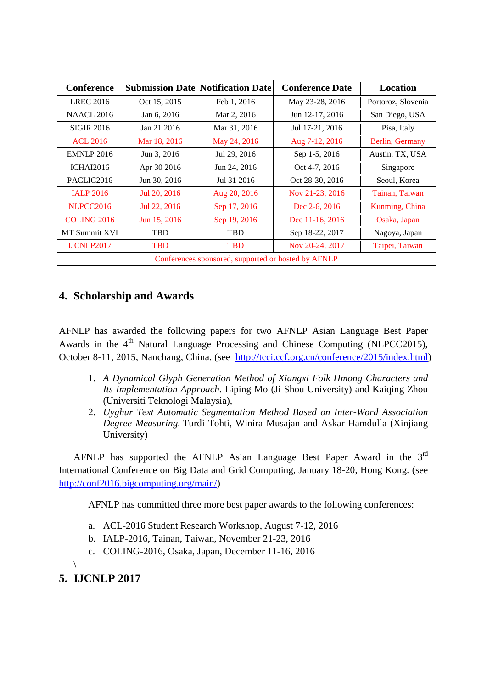| <b>Conference</b>                                   |              | <b>Submission Date Notification Date</b> | <b>Conference Date</b> | <b>Location</b>    |  |
|-----------------------------------------------------|--------------|------------------------------------------|------------------------|--------------------|--|
| <b>LREC 2016</b>                                    | Oct 15, 2015 | Feb 1, 2016                              | May 23-28, 2016        | Portoroz, Slovenia |  |
| <b>NAACL 2016</b>                                   | Jan 6, 2016  | Mar 2, 2016                              | Jun 12-17, 2016        | San Diego, USA     |  |
| <b>SIGIR 2016</b>                                   | Jan 21 2016  | Mar 31, 2016                             | Jul 17-21, 2016        | Pisa, Italy        |  |
| <b>ACL 2016</b>                                     | Mar 18, 2016 | May 24, 2016                             | Aug 7-12, 2016         | Berlin, Germany    |  |
| <b>EMNLP 2016</b>                                   | Jun 3, 2016  | Jul 29, 2016                             | Sep 1-5, 2016          | Austin, TX, USA    |  |
| <b>ICHAI2016</b>                                    | Apr 30 2016  | Jun 24, 2016                             | Oct 4-7, 2016          | Singapore          |  |
| PACLIC <sub>2016</sub>                              | Jun 30, 2016 | Jul 31 2016                              | Oct 28-30, 2016        | Seoul, Korea       |  |
| <b>IALP 2016</b>                                    | Jul 20, 2016 | Aug 20, 2016                             | Nov 21-23, 2016        | Tainan, Taiwan     |  |
| NLPCC2016                                           | Jul 22, 2016 | Sep 17, 2016                             | Dec 2-6, 2016          | Kunming, China     |  |
| <b>COLING 2016</b>                                  | Jun 15, 2016 | Sep 19, 2016                             | Dec 11-16, 2016        | Osaka, Japan       |  |
| <b>MT Summit XVI</b>                                | <b>TBD</b>   | <b>TBD</b>                               | Sep 18-22, 2017        | Nagoya, Japan      |  |
| IJCNLP2017                                          | TBD          | <b>TBD</b>                               | Nov 20-24, 2017        | Taipei, Taiwan     |  |
| Conferences sponsored, supported or hosted by AFNLP |              |                                          |                        |                    |  |

# **4. Scholarship and Awards**

AFNLP has awarded the following papers for two AFNLP Asian Language Best Paper Awards in the  $4<sup>th</sup>$  Natural Language Processing and Chinese Computing (NLPCC2015), October 8-11, 2015, Nanchang, China. (see [http://tcci.ccf.org.cn/conference/2015/index.html\)](http://tcci.ccf.org.cn/conference/2015/index.html)

- 1. *A Dynamical Glyph Generation Method of Xiangxi Folk Hmong Characters and Its Implementation Approach.* Liping Mo (Ji Shou University) and Kaiqing Zhou (Universiti Teknologi Malaysia),
- 2. *Uyghur Text Automatic Segmentation Method Based on Inter-Word Association Degree Measuring.* Turdi Tohti, Winira Musajan and Askar Hamdulla (Xinjiang University)

AFNLP has supported the AFNLP Asian Language Best Paper Award in the  $3<sup>rd</sup>$ International Conference on Big Data and Grid Computing, January 18-20, Hong Kong. (see [http://conf2016.bigcomputing.org/main/\)](http://conf2016.bigcomputing.org/main/)

AFNLP has committed three more best paper awards to the following conferences:

- a. ACL-2016 Student Research Workshop, August 7-12, 2016
- b. IALP-2016, Tainan, Taiwan, November 21-23, 2016
- c. COLING-2016, Osaka, Japan, December 11-16, 2016

\

# **5. IJCNLP 2017**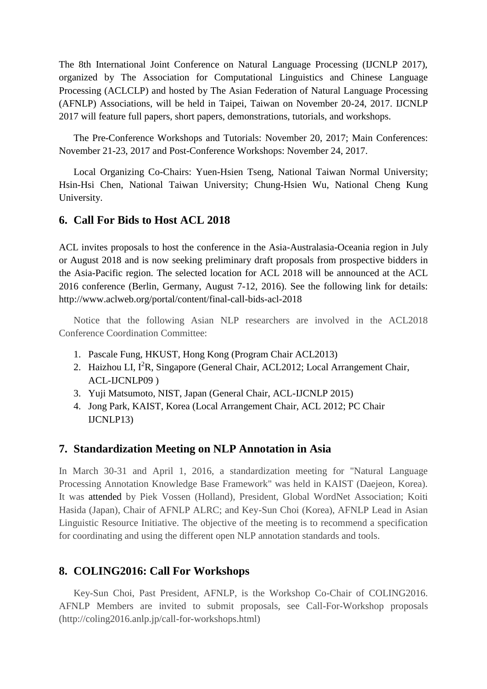The 8th International Joint Conference on Natural Language Processing (IJCNLP 2017), organized by The Association for Computational Linguistics and Chinese Language Processing (ACLCLP) and hosted by The Asian Federation of Natural Language Processing (AFNLP) Associations, will be held in Taipei, Taiwan on November 20-24, 2017. IJCNLP 2017 will feature full papers, short papers, demonstrations, tutorials, and workshops.

The Pre-Conference Workshops and Tutorials: November 20, 2017; Main Conferences: November 21-23, 2017 and Post-Conference Workshops: November 24, 2017.

Local Organizing Co-Chairs: Yuen-Hsien Tseng, National Taiwan Normal University; Hsin-Hsi Chen, National Taiwan University; Chung-Hsien Wu, National Cheng Kung University.

#### **6. Call For Bids to Host ACL 2018**

ACL invites proposals to host the conference in the Asia-Australasia-Oceania region in July or August 2018 and is now seeking preliminary draft proposals from prospective bidders in the Asia-Pacific region. The selected location for ACL 2018 will be announced at the ACL 2016 conference (Berlin, Germany, August 7-12, 2016). See the following link for details: http://www.aclweb.org/portal/content/final-call-bids-acl-2018

Notice that the following Asian NLP researchers are involved in the ACL2018 Conference Coordination Committee:

- 1. Pascale Fung, HKUST, Hong Kong (Program Chair ACL2013)
- 2. Haizhou LI,  $I^2R$ , Singapore (General Chair, ACL2012; Local Arrangement Chair, ACL-IJCNLP09 )
- 3. Yuji Matsumoto, NIST, Japan (General Chair, ACL-IJCNLP 2015)
- 4. Jong Park, KAIST, Korea (Local Arrangement Chair, ACL 2012; PC Chair IJCNLP13)

#### **7. Standardization Meeting on NLP Annotation in Asia**

In March 30-31 and April 1, 2016, a standardization meeting for "Natural Language Processing Annotation Knowledge Base Framework" was held in KAIST (Daejeon, Korea). It was attended by Piek Vossen (Holland), President, Global WordNet Association; Koiti Hasida (Japan), Chair of AFNLP ALRC; and Key-Sun Choi (Korea), AFNLP Lead in Asian Linguistic Resource Initiative. The objective of the meeting is to recommend a specification for coordinating and using the different open NLP annotation standards and tools.

#### **8. COLING2016: Call For Workshops**

Key-Sun Choi, Past President, AFNLP, is the Workshop Co-Chair of COLING2016. AFNLP Members are invited to submit proposals, see Call-For-Workshop proposals (http://coling2016.anlp.jp/call-for-workshops.html)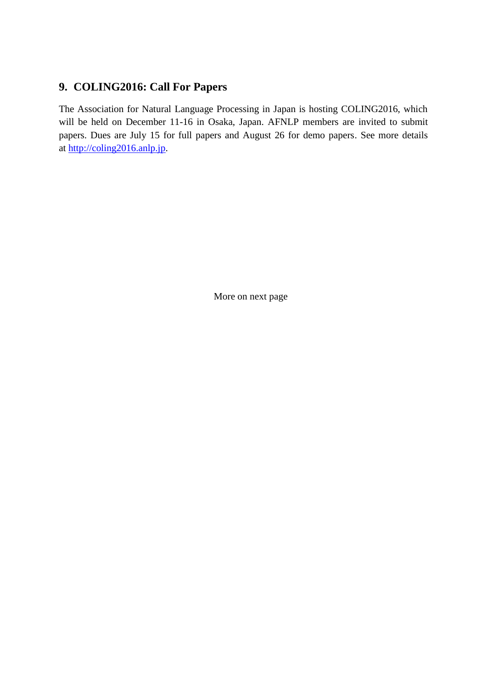# **9. COLING2016: Call For Papers**

The Association for Natural Language Processing in Japan is hosting COLING2016, which will be held on December 11-16 in Osaka, Japan. AFNLP members are invited to submit papers. Dues are July 15 for full papers and August 26 for demo papers. See more details at [http://coling2016.anlp.jp.](http://coling2016.anlp.jp/)

More on next page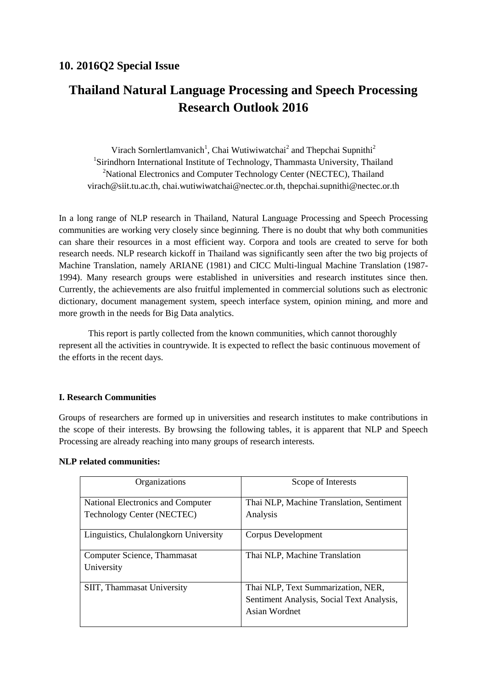# **Thailand Natural Language Processing and Speech Processing Research Outlook 2016**

Virach Sornlertlamvanich<sup>1</sup>, Chai Wutiwiwatchai<sup>2</sup> and Thepchai Supnithi<sup>2</sup> <sup>1</sup>Sirindhorn International Institute of Technology, Thammasta University, Thailand <sup>2</sup>National Electronics and Computer Technology Center (NECTEC), Thailand virach@siit.tu.ac.th, chai.wutiwiwatchai@nectec.or.th, thepchai.supnithi@nectec.or.th

In a long range of NLP research in Thailand, Natural Language Processing and Speech Processing communities are working very closely since beginning. There is no doubt that why both communities can share their resources in a most efficient way. Corpora and tools are created to serve for both research needs. NLP research kickoff in Thailand was significantly seen after the two big projects of Machine Translation, namely ARIANE (1981) and CICC Multi-lingual Machine Translation (1987- 1994). Many research groups were established in universities and research institutes since then. Currently, the achievements are also fruitful implemented in commercial solutions such as electronic dictionary, document management system, speech interface system, opinion mining, and more and more growth in the needs for Big Data analytics.

This report is partly collected from the known communities, which cannot thoroughly represent all the activities in countrywide. It is expected to reflect the basic continuous movement of the efforts in the recent days.

#### **I. Research Communities**

Groups of researchers are formed up in universities and research institutes to make contributions in the scope of their interests. By browsing the following tables, it is apparent that NLP and Speech Processing are already reaching into many groups of research interests.

| Organizations                             | Scope of Interests                                                                               |
|-------------------------------------------|--------------------------------------------------------------------------------------------------|
| National Electronics and Computer         | Thai NLP, Machine Translation, Sentiment                                                         |
| Technology Center (NECTEC)                | Analysis                                                                                         |
| Linguistics, Chulalongkorn University     | Corpus Development                                                                               |
| Computer Science, Thammasat<br>University | Thai NLP, Machine Translation                                                                    |
| SIIT, Thammasat University                | Thai NLP, Text Summarization, NER,<br>Sentiment Analysis, Social Text Analysis,<br>Asian Wordnet |

### **NLP related communities**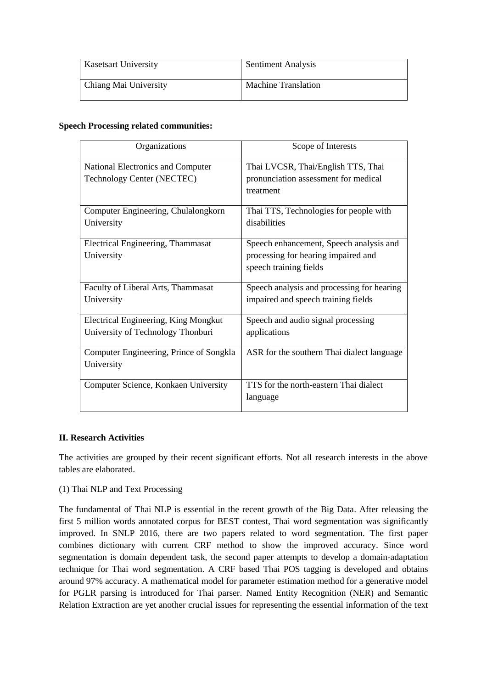| <b>Kasetsart University</b> | <b>Sentiment Analysis</b>  |
|-----------------------------|----------------------------|
| Chiang Mai University       | <b>Machine Translation</b> |

#### **Speech Processing related communities:**

| Organizations                                                             | Scope of Interests                                                                                       |
|---------------------------------------------------------------------------|----------------------------------------------------------------------------------------------------------|
| National Electronics and Computer<br>Technology Center (NECTEC)           | Thai LVCSR, Thai/English TTS, Thai<br>pronunciation assessment for medical<br>treatment                  |
| Computer Engineering, Chulalongkorn<br>University                         | Thai TTS, Technologies for people with<br>disabilities                                                   |
| Electrical Engineering, Thammasat<br>University                           | Speech enhancement, Speech analysis and<br>processing for hearing impaired and<br>speech training fields |
| Faculty of Liberal Arts, Thammasat<br>University                          | Speech analysis and processing for hearing<br>impaired and speech training fields                        |
| Electrical Engineering, King Mongkut<br>University of Technology Thonburi | Speech and audio signal processing<br>applications                                                       |
| Computer Engineering, Prince of Songkla<br>University                     | ASR for the southern Thai dialect language                                                               |
| Computer Science, Konkaen University                                      | TTS for the north-eastern Thai dialect<br>language                                                       |

#### **II. Research Activities**

The activities are grouped by their recent significant efforts. Not all research interests in the above tables are elaborated.

#### (1) Thai NLP and Text Processing

The fundamental of Thai NLP is essential in the recent growth of the Big Data. After releasing the first 5 million words annotated corpus for BEST contest, Thai word segmentation was significantly improved. In SNLP 2016, there are two papers related to word segmentation. The first paper combines dictionary with current CRF method to show the improved accuracy. Since word segmentation is domain dependent task, the second paper attempts to develop a domain-adaptation technique for Thai word segmentation. A CRF based Thai POS tagging is developed and obtains around 97% accuracy. A mathematical model for parameter estimation method for a generative model for PGLR parsing is introduced for Thai parser. Named Entity Recognition (NER) and Semantic Relation Extraction are yet another crucial issues for representing the essential information of the text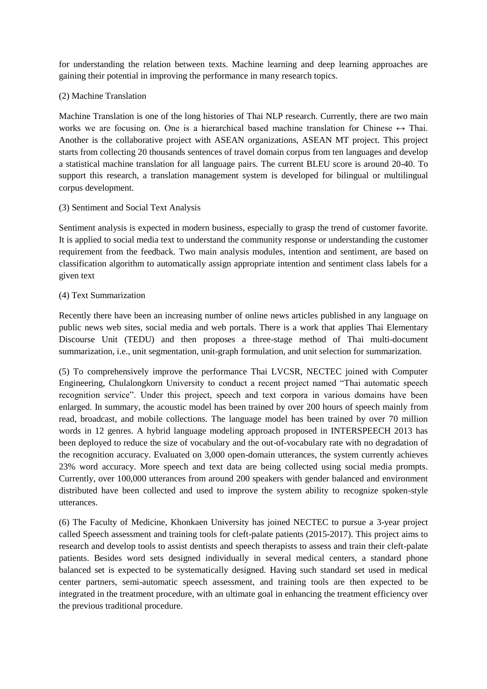for understanding the relation between texts. Machine learning and deep learning approaches are gaining their potential in improving the performance in many research topics.

#### (2) Machine Translation

Machine Translation is one of the long histories of Thai NLP research. Currently, there are two main works we are focusing on. One is a hierarchical based machine translation for Chinese  $\leftrightarrow$  Thai. Another is the collaborative project with ASEAN organizations, ASEAN MT project. This project starts from collecting 20 thousands sentences of travel domain corpus from ten languages and develop a statistical machine translation for all language pairs. The current BLEU score is around 20-40. To support this research, a translation management system is developed for bilingual or multilingual corpus development.

#### (3) Sentiment and Social Text Analysis

Sentiment analysis is expected in modern business, especially to grasp the trend of customer favorite. It is applied to social media text to understand the community response or understanding the customer requirement from the feedback. Two main analysis modules, intention and sentiment, are based on classification algorithm to automatically assign appropriate intention and sentiment class labels for a given text

#### (4) Text Summarization

Recently there have been an increasing number of online news articles published in any language on public news web sites, social media and web portals. There is a work that applies Thai Elementary Discourse Unit (TEDU) and then proposes a three-stage method of Thai multi-document summarization, i.e., unit segmentation, unit-graph formulation, and unit selection for summarization.

(5) To comprehensively improve the performance Thai LVCSR, NECTEC joined with Computer Engineering, Chulalongkorn University to conduct a recent project named "Thai automatic speech recognition service". Under this project, speech and text corpora in various domains have been enlarged. In summary, the acoustic model has been trained by over 200 hours of speech mainly from read, broadcast, and mobile collections. The language model has been trained by over 70 million words in 12 genres. A hybrid language modeling approach proposed in INTERSPEECH 2013 has been deployed to reduce the size of vocabulary and the out-of-vocabulary rate with no degradation of the recognition accuracy. Evaluated on 3,000 open-domain utterances, the system currently achieves 23% word accuracy. More speech and text data are being collected using social media prompts. Currently, over 100,000 utterances from around 200 speakers with gender balanced and environment distributed have been collected and used to improve the system ability to recognize spoken-style utterances.

(6) The Faculty of Medicine, Khonkaen University has joined NECTEC to pursue a 3-year project called Speech assessment and training tools for cleft-palate patients (2015-2017). This project aims to research and develop tools to assist dentists and speech therapists to assess and train their cleft-palate patients. Besides word sets designed individually in several medical centers, a standard phone balanced set is expected to be systematically designed. Having such standard set used in medical center partners, semi-automatic speech assessment, and training tools are then expected to be integrated in the treatment procedure, with an ultimate goal in enhancing the treatment efficiency over the previous traditional procedure.